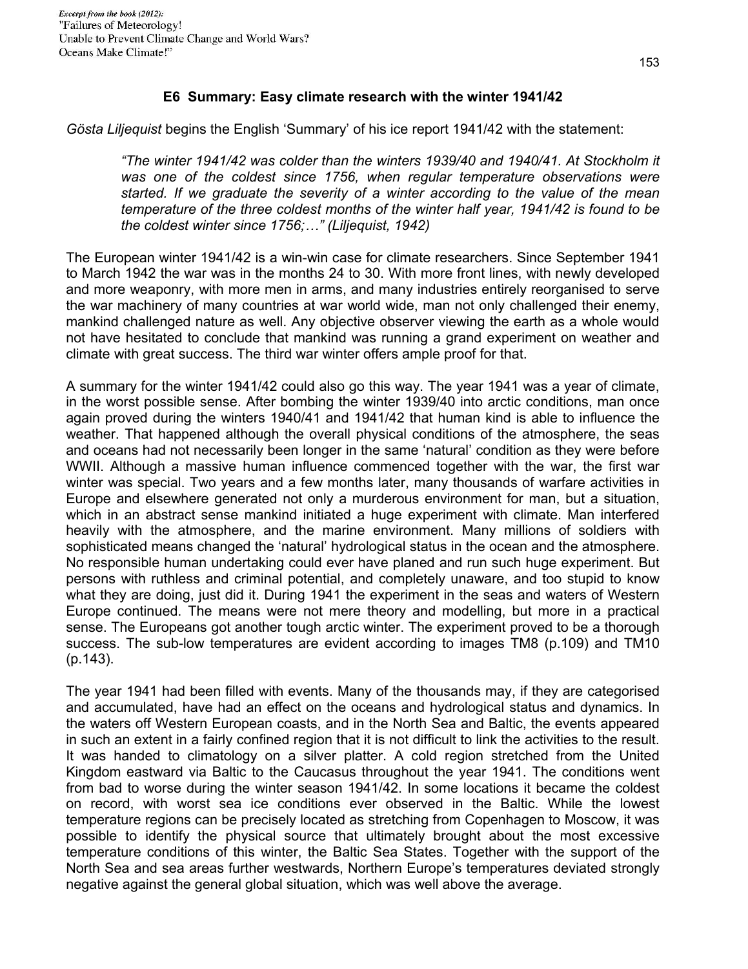## **E6 Summary: Easy climate research with the winter 1941/42**

*Gösta Liljequist* begins the English 'Summary' of his ice report 1941/42 with the statement:

*"The winter 1941/42 was colder than the winters 1939/40 and 1940/41. At Stockholm it was one of the coldest since 1756, when regular temperature observations were started. If we graduate the severity of a winter according to the value of the mean temperature of the three coldest months of the winter half year, 1941/42 is found to be the coldest winter since 1756;…" (Liljequist, 1942)* 

The European winter 1941/42 is a win-win case for climate researchers. Since September 1941 to March 1942 the war was in the months 24 to 30. With more front lines, with newly developed and more weaponry, with more men in arms, and many industries entirely reorganised to serve the war machinery of many countries at war world wide, man not only challenged their enemy, mankind challenged nature as well. Any objective observer viewing the earth as a whole would not have hesitated to conclude that mankind was running a grand experiment on weather and climate with great success. The third war winter offers ample proof for that.

A summary for the winter 1941/42 could also go this way. The year 1941 was a year of climate, in the worst possible sense. After bombing the winter 1939/40 into arctic conditions, man once again proved during the winters 1940/41 and 1941/42 that human kind is able to influence the weather. That happened although the overall physical conditions of the atmosphere, the seas and oceans had not necessarily been longer in the same 'natural' condition as they were before WWII. Although a massive human influence commenced together with the war, the first war winter was special. Two years and a few months later, many thousands of warfare activities in Europe and elsewhere generated not only a murderous environment for man, but a situation, which in an abstract sense mankind initiated a huge experiment with climate. Man interfered heavily with the atmosphere, and the marine environment. Many millions of soldiers with sophisticated means changed the 'natural' hydrological status in the ocean and the atmosphere. No responsible human undertaking could ever have planed and run such huge experiment. But persons with ruthless and criminal potential, and completely unaware, and too stupid to know what they are doing, just did it. During 1941 the experiment in the seas and waters of Western Europe continued. The means were not mere theory and modelling, but more in a practical sense. The Europeans got another tough arctic winter. The experiment proved to be a thorough success. The sub-low temperatures are evident according to images TM8 (p.109) and TM10 (p.143).

The year 1941 had been filled with events. Many of the thousands may, if they are categorised and accumulated, have had an effect on the oceans and hydrological status and dynamics. In the waters off Western European coasts, and in the North Sea and Baltic, the events appeared in such an extent in a fairly confined region that it is not difficult to link the activities to the result. It was handed to climatology on a silver platter. A cold region stretched from the United Kingdom eastward via Baltic to the Caucasus throughout the year 1941. The conditions went from bad to worse during the winter season 1941/42. In some locations it became the coldest on record, with worst sea ice conditions ever observed in the Baltic. While the lowest temperature regions can be precisely located as stretching from Copenhagen to Moscow, it was possible to identify the physical source that ultimately brought about the most excessive temperature conditions of this winter, the Baltic Sea States. Together with the support of the North Sea and sea areas further westwards, Northern Europe's temperatures deviated strongly negative against the general global situation, which was well above the average.